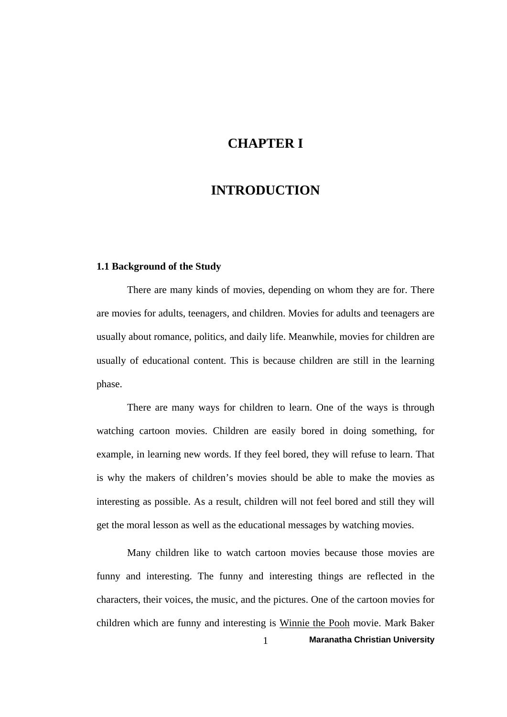# **CHAPTER I**

# **INTRODUCTION**

#### **1.1 Background of the Study**

 There are many kinds of movies, depending on whom they are for. There are movies for adults, teenagers, and children. Movies for adults and teenagers are usually about romance, politics, and daily life. Meanwhile, movies for children are usually of educational content. This is because children are still in the learning phase.

 There are many ways for children to learn. One of the ways is through watching cartoon movies. Children are easily bored in doing something, for example, in learning new words. If they feel bored, they will refuse to learn. That is why the makers of children's movies should be able to make the movies as interesting as possible. As a result, children will not feel bored and still they will get the moral lesson as well as the educational messages by watching movies.

1 **Maranatha Christian University**  Many children like to watch cartoon movies because those movies are funny and interesting. The funny and interesting things are reflected in the characters, their voices, the music, and the pictures. One of the cartoon movies for children which are funny and interesting is Winnie the Pooh movie. [Mark Baker](http://www.amazon.co.uk/gp/pdp/profile/A2I6MHMAZZDCRX/ref=cm_cr_auth/026-2886536-5880447)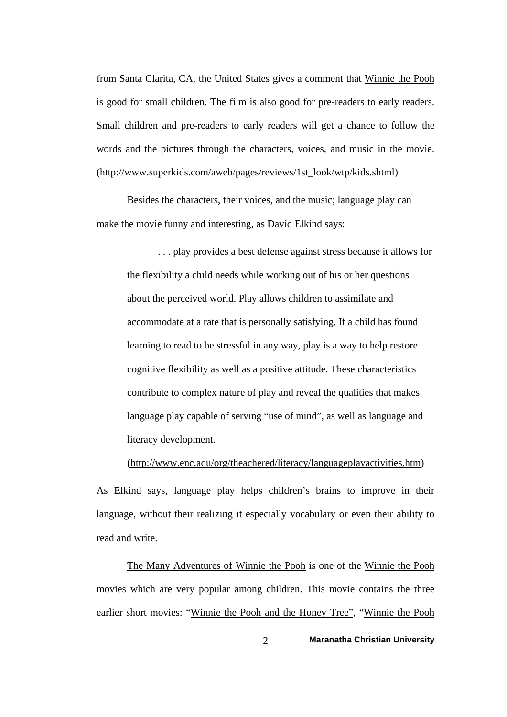from Santa Clarita, CA, the United States gives a comment that Winnie the Pooh is good for small children. The film is also good for pre-readers to early readers. Small children and pre-readers to early readers will get a chance to follow the words and the pictures through the characters, voices, and music in the movie. (http://www.superkids.com/aweb/pages/reviews/1st\_look/wtp/kids.shtml)

 Besides the characters, their voices, and the music; language play can make the movie funny and interesting, as David Elkind says:

 . . . play provides a best defense against stress because it allows for the flexibility a child needs while working out of his or her questions about the perceived world. Play allows children to assimilate and accommodate at a rate that is personally satisfying. If a child has found learning to read to be stressful in any way, play is a way to help restore cognitive flexibility as well as a positive attitude. These characteristics contribute to complex nature of play and reveal the qualities that makes language play capable of serving "use of mind", as well as language and literacy development.

[\(http://www.enc.adu/org/theachered/literacy/languageplayactivities.htm](http://www.enc.adu/org/theachered/literacy/languageplayactivities.htm))

As Elkind says, language play helps children's brains to improve in their language, without their realizing it especially vocabulary or even their ability to read and write.

The Many Adventures of Winnie the Pooh is one of the Winnie the Pooh movies which are very popular among children. This movie contains the three earlier short movies: "Winnie the Pooh and the Honey Tree", "Winnie the Pooh

2 **Maranatha Christian University**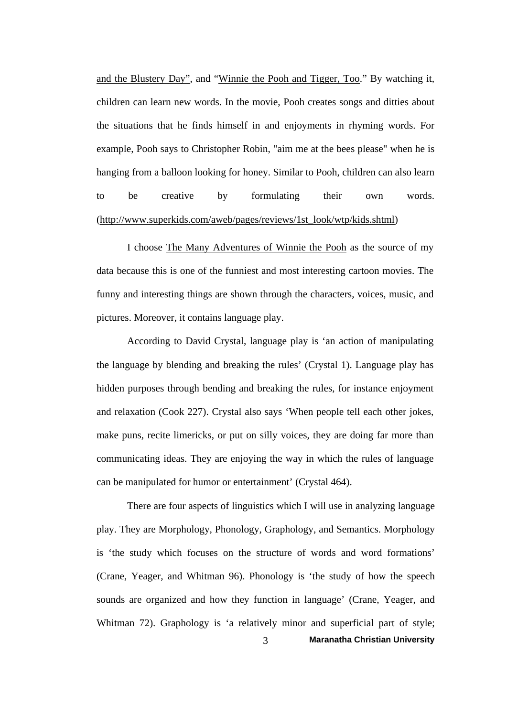and the Blustery Day", and "Winnie the Pooh and Tigger, Too." By watching it, children can learn new words. In the movie, Pooh creates songs and ditties about the situations that he finds himself in and enjoyments in rhyming words. For example, Pooh says to Christopher Robin, "aim me at the bees please" when he is hanging from a balloon looking for honey. Similar to Pooh, children can also learn to be creative by formulating their own words. [\(http://www.superkids.com/aweb/pages/reviews/1st\\_look/wtp/kids.shtml\)](http://www.superkids.com/aweb/pages/reviews/1st_look/wtp/kids.shtml)

 I choose The Many Adventures of Winnie the Pooh as the source of my data because this is one of the funniest and most interesting cartoon movies. The funny and interesting things are shown through the characters, voices, music, and pictures. Moreover, it contains language play.

 According to David Crystal, language play is 'an action of manipulating the language by blending and breaking the rules' (Crystal 1). Language play has hidden purposes through bending and breaking the rules, for instance enjoyment and relaxation (Cook 227). Crystal also says 'When people tell each other jokes, make puns, recite limericks, or put on silly voices, they are doing far more than communicating ideas. They are enjoying the way in which the rules of language can be manipulated for humor or entertainment' (Crystal 464).

3 **Maranatha Christian University**  There are four aspects of linguistics which I will use in analyzing language play. They are Morphology, Phonology, Graphology, and Semantics. Morphology is 'the study which focuses on the structure of words and word formations' (Crane, Yeager, and Whitman 96). Phonology is 'the study of how the speech sounds are organized and how they function in language' (Crane, Yeager, and Whitman 72). Graphology is 'a relatively minor and superficial part of style;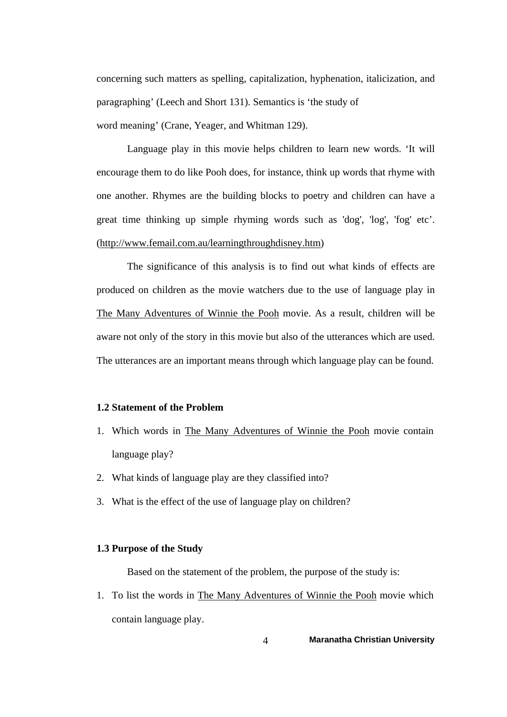concerning such matters as spelling, capitalization, hyphenation, italicization, and paragraphing' (Leech and Short 131). Semantics is 'the study of word meaning' (Crane, Yeager, and Whitman 129).

 Language play in this movie helps children to learn new words. 'It will encourage them to do like Pooh does, for instance, think up words that rhyme with one another. Rhymes are the building blocks to poetry and children can have a great time thinking up simple rhyming words such as 'dog', 'log', 'fog' etc'. [\(http://www.femail.com.au/learningthroughdisney.htm\)](http://www.femail.com.au/learningthroughdisney.htm)

 The significance of this analysis is to find out what kinds of effects are produced on children as the movie watchers due to the use of language play in The Many Adventures of Winnie the Pooh movie. As a result, children will be aware not only of the story in this movie but also of the utterances which are used. The utterances are an important means through which language play can be found.

### **1.2 Statement of the Problem**

- 1. Which words in The Many Adventures of Winnie the Pooh movie contain language play?
- 2. What kinds of language play are they classified into?
- 3. What is the effect of the use of language play on children?

#### **1.3 Purpose of the Study**

Based on the statement of the problem, the purpose of the study is:

1. To list the words in The Many Adventures of Winnie the Pooh movie which contain language play.